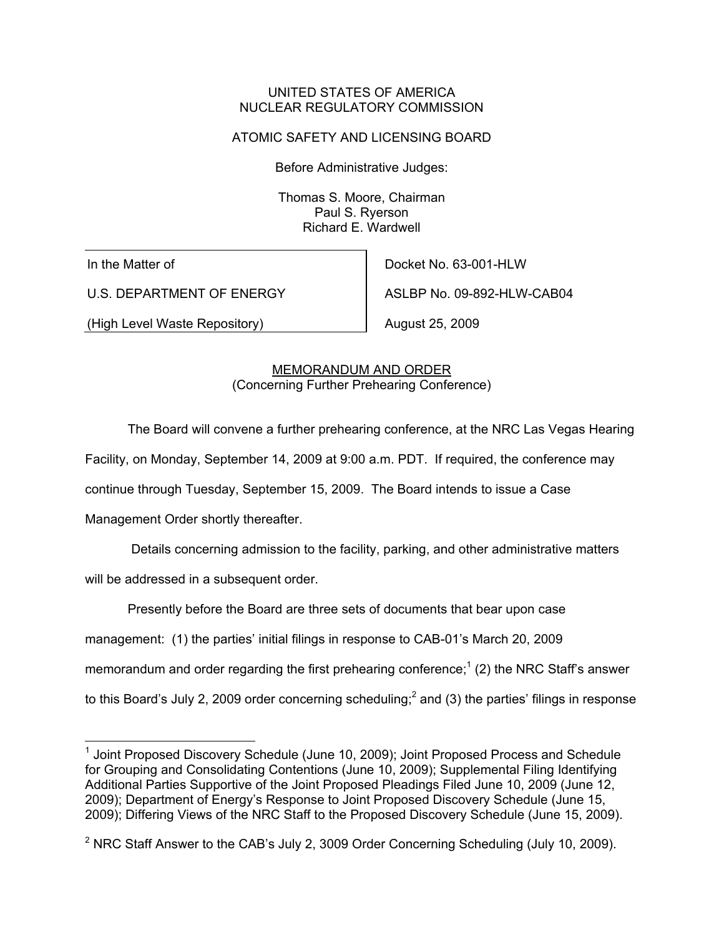#### UNITED STATES OF AMERICA NUCLEAR REGULATORY COMMISSION

### ATOMIC SAFETY AND LICENSING BOARD

Before Administrative Judges:

Thomas S. Moore, Chairman Paul S. Ryerson Richard E. Wardwell

In the Matter of

-

U.S. DEPARTMENT OF ENERGY

(High Level Waste Repository)

Docket No. 63-001-HLW ASLBP No. 09-892-HLW-CAB04

August 25, 2009

# MEMORANDUM AND ORDER (Concerning Further Prehearing Conference)

The Board will convene a further prehearing conference, at the NRC Las Vegas Hearing

Facility, on Monday, September 14, 2009 at 9:00 a.m. PDT. If required, the conference may

continue through Tuesday, September 15, 2009. The Board intends to issue a Case

Management Order shortly thereafter.

Details concerning admission to the facility, parking, and other administrative matters

will be addressed in a subsequent order.

Presently before the Board are three sets of documents that bear upon case

management: (1) the parties' initial filings in response to CAB-01's March 20, 2009

memorandum and order regarding the first prehearing conference;<sup>1</sup> (2) the NRC Staff's answer

to this Board's July 2, 2009 order concerning scheduling;<sup>2</sup> and (3) the parties' filings in response

<sup>&</sup>lt;sup>1</sup> Joint Proposed Discovery Schedule (June 10, 2009); Joint Proposed Process and Schedule for Grouping and Consolidating Contentions (June 10, 2009); Supplemental Filing Identifying Additional Parties Supportive of the Joint Proposed Pleadings Filed June 10, 2009 (June 12, 2009); Department of Energy's Response to Joint Proposed Discovery Schedule (June 15, 2009); Differing Views of the NRC Staff to the Proposed Discovery Schedule (June 15, 2009).

<sup>&</sup>lt;sup>2</sup> NRC Staff Answer to the CAB's July 2, 3009 Order Concerning Scheduling (July 10, 2009).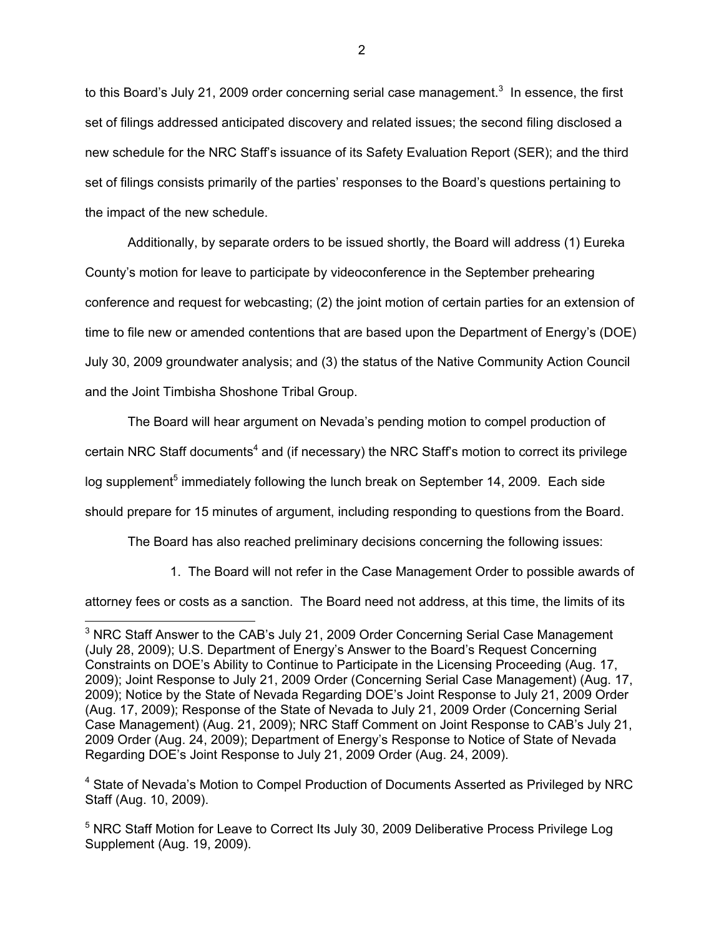to this Board's July 21, 2009 order concerning serial case management.<sup>3</sup> In essence, the first set of filings addressed anticipated discovery and related issues; the second filing disclosed a new schedule for the NRC Staff's issuance of its Safety Evaluation Report (SER); and the third set of filings consists primarily of the parties' responses to the Board's questions pertaining to the impact of the new schedule.

 Additionally, by separate orders to be issued shortly, the Board will address (1) Eureka County's motion for leave to participate by videoconference in the September prehearing conference and request for webcasting; (2) the joint motion of certain parties for an extension of time to file new or amended contentions that are based upon the Department of Energy's (DOE) July 30, 2009 groundwater analysis; and (3) the status of the Native Community Action Council and the Joint Timbisha Shoshone Tribal Group.

The Board will hear argument on Nevada's pending motion to compel production of certain NRC Staff documents<sup>4</sup> and (if necessary) the NRC Staff's motion to correct its privilege log supplement<sup>5</sup> immediately following the lunch break on September 14, 2009. Each side should prepare for 15 minutes of argument, including responding to questions from the Board.

The Board has also reached preliminary decisions concerning the following issues:

1. The Board will not refer in the Case Management Order to possible awards of

attorney fees or costs as a sanction. The Board need not address, at this time, the limits of its

 $\overline{a}$ 

 $3$  NRC Staff Answer to the CAB's July 21, 2009 Order Concerning Serial Case Management (July 28, 2009); U.S. Department of Energy's Answer to the Board's Request Concerning Constraints on DOE's Ability to Continue to Participate in the Licensing Proceeding (Aug. 17, 2009); Joint Response to July 21, 2009 Order (Concerning Serial Case Management) (Aug. 17, 2009); Notice by the State of Nevada Regarding DOE's Joint Response to July 21, 2009 Order (Aug. 17, 2009); Response of the State of Nevada to July 21, 2009 Order (Concerning Serial Case Management) (Aug. 21, 2009); NRC Staff Comment on Joint Response to CAB's July 21, 2009 Order (Aug. 24, 2009); Department of Energy's Response to Notice of State of Nevada Regarding DOE's Joint Response to July 21, 2009 Order (Aug. 24, 2009).

<sup>&</sup>lt;sup>4</sup> State of Nevada's Motion to Compel Production of Documents Asserted as Privileged by NRC Staff (Aug. 10, 2009).

<sup>&</sup>lt;sup>5</sup> NRC Staff Motion for Leave to Correct Its July 30, 2009 Deliberative Process Privilege Log Supplement (Aug. 19, 2009).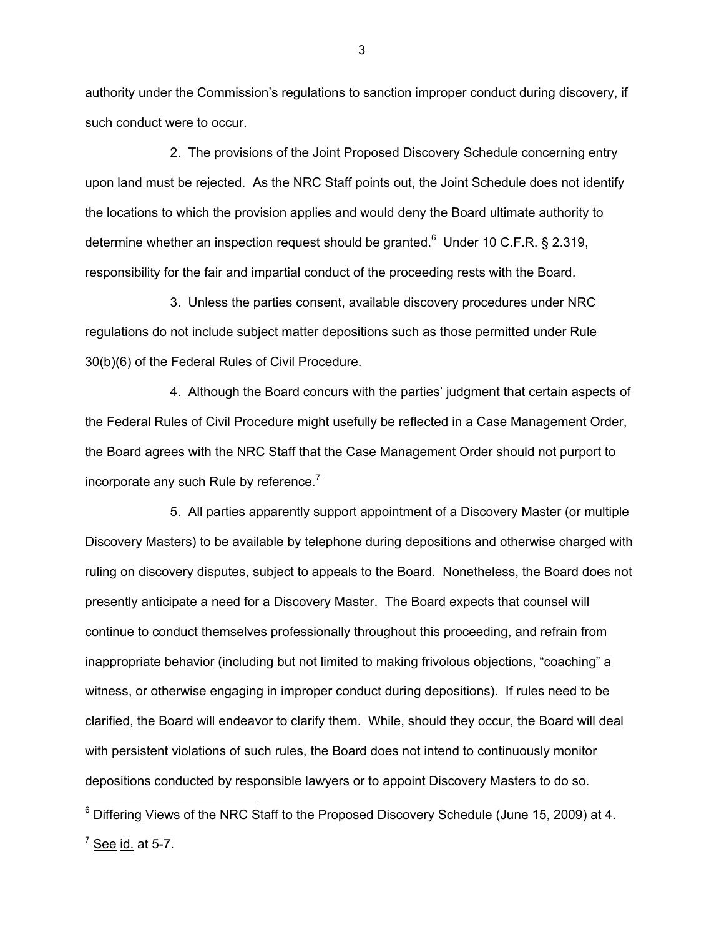authority under the Commission's regulations to sanction improper conduct during discovery, if such conduct were to occur.

 2. The provisions of the Joint Proposed Discovery Schedule concerning entry upon land must be rejected. As the NRC Staff points out, the Joint Schedule does not identify the locations to which the provision applies and would deny the Board ultimate authority to determine whether an inspection request should be granted. $6$  Under 10 C.F.R. § 2.319, responsibility for the fair and impartial conduct of the proceeding rests with the Board.

 3. Unless the parties consent, available discovery procedures under NRC regulations do not include subject matter depositions such as those permitted under Rule 30(b)(6) of the Federal Rules of Civil Procedure.

 4. Although the Board concurs with the parties' judgment that certain aspects of the Federal Rules of Civil Procedure might usefully be reflected in a Case Management Order, the Board agrees with the NRC Staff that the Case Management Order should not purport to incorporate any such Rule by reference. $<sup>7</sup>$ </sup>

 5. All parties apparently support appointment of a Discovery Master (or multiple Discovery Masters) to be available by telephone during depositions and otherwise charged with ruling on discovery disputes, subject to appeals to the Board. Nonetheless, the Board does not presently anticipate a need for a Discovery Master. The Board expects that counsel will continue to conduct themselves professionally throughout this proceeding, and refrain from inappropriate behavior (including but not limited to making frivolous objections, "coaching" a witness, or otherwise engaging in improper conduct during depositions). If rules need to be clarified, the Board will endeavor to clarify them. While, should they occur, the Board will deal with persistent violations of such rules, the Board does not intend to continuously monitor depositions conducted by responsible lawyers or to appoint Discovery Masters to do so.

 $\overline{a}$ 

3

 $6$  Differing Views of the NRC Staff to the Proposed Discovery Schedule (June 15, 2009) at 4.

<sup>&</sup>lt;sup>7</sup> See id. at 5-7.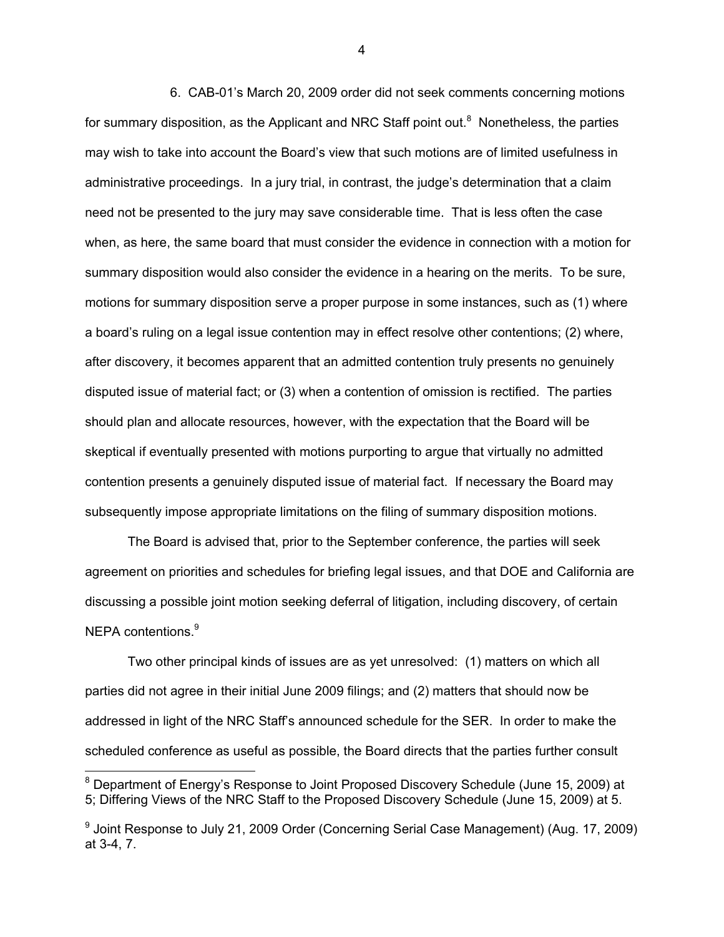6. CAB-01's March 20, 2009 order did not seek comments concerning motions for summary disposition, as the Applicant and NRC Staff point out.<sup>8</sup> Nonetheless, the parties may wish to take into account the Board's view that such motions are of limited usefulness in administrative proceedings. In a jury trial, in contrast, the judge's determination that a claim need not be presented to the jury may save considerable time. That is less often the case when, as here, the same board that must consider the evidence in connection with a motion for summary disposition would also consider the evidence in a hearing on the merits. To be sure, motions for summary disposition serve a proper purpose in some instances, such as (1) where a board's ruling on a legal issue contention may in effect resolve other contentions; (2) where, after discovery, it becomes apparent that an admitted contention truly presents no genuinely disputed issue of material fact; or (3) when a contention of omission is rectified. The parties should plan and allocate resources, however, with the expectation that the Board will be skeptical if eventually presented with motions purporting to argue that virtually no admitted contention presents a genuinely disputed issue of material fact. If necessary the Board may subsequently impose appropriate limitations on the filing of summary disposition motions.

 The Board is advised that, prior to the September conference, the parties will seek agreement on priorities and schedules for briefing legal issues, and that DOE and California are discussing a possible joint motion seeking deferral of litigation, including discovery, of certain NEPA contentions.<sup>9</sup>

 Two other principal kinds of issues are as yet unresolved: (1) matters on which all parties did not agree in their initial June 2009 filings; and (2) matters that should now be addressed in light of the NRC Staff's announced schedule for the SER. In order to make the scheduled conference as useful as possible, the Board directs that the parties further consult

4

<sup>&</sup>lt;sup>8</sup> Department of Energy's Response to Joint Proposed Discovery Schedule (June 15, 2009) at 5; Differing Views of the NRC Staff to the Proposed Discovery Schedule (June 15, 2009) at 5.

<sup>&</sup>lt;sup>9</sup> Joint Response to July 21, 2009 Order (Concerning Serial Case Management) (Aug. 17, 2009) at 3-4, 7.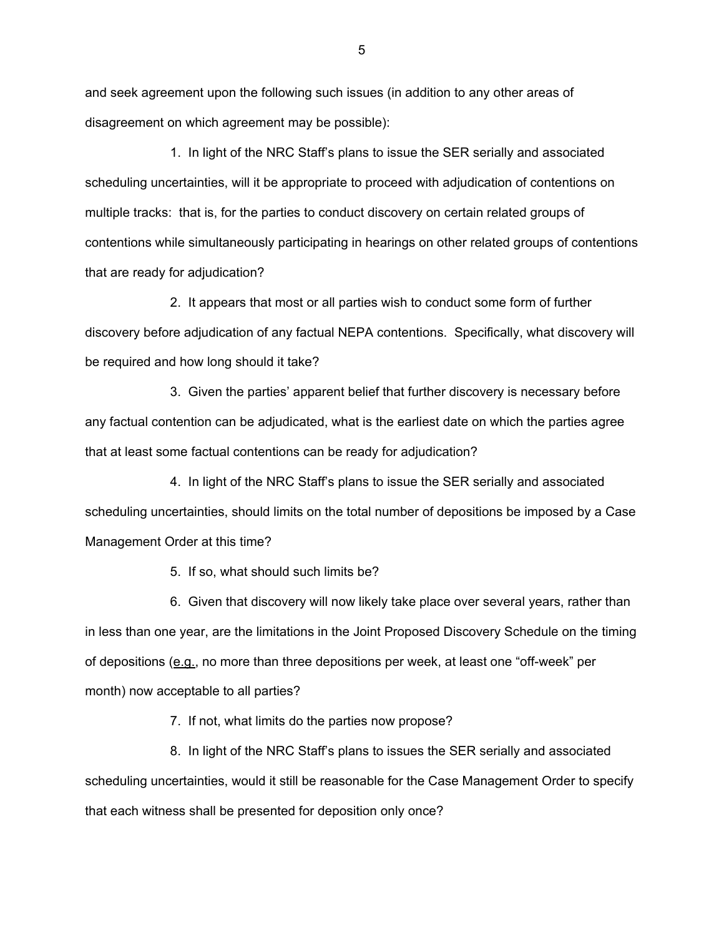and seek agreement upon the following such issues (in addition to any other areas of disagreement on which agreement may be possible):

 1. In light of the NRC Staff's plans to issue the SER serially and associated scheduling uncertainties, will it be appropriate to proceed with adjudication of contentions on multiple tracks: that is, for the parties to conduct discovery on certain related groups of contentions while simultaneously participating in hearings on other related groups of contentions that are ready for adjudication?

 2. It appears that most or all parties wish to conduct some form of further discovery before adjudication of any factual NEPA contentions. Specifically, what discovery will be required and how long should it take?

 3. Given the parties' apparent belief that further discovery is necessary before any factual contention can be adjudicated, what is the earliest date on which the parties agree that at least some factual contentions can be ready for adjudication?

 4. In light of the NRC Staff's plans to issue the SER serially and associated scheduling uncertainties, should limits on the total number of depositions be imposed by a Case Management Order at this time?

5. If so, what should such limits be?

 6. Given that discovery will now likely take place over several years, rather than in less than one year, are the limitations in the Joint Proposed Discovery Schedule on the timing of depositions (e.g., no more than three depositions per week, at least one "off-week" per month) now acceptable to all parties?

7. If not, what limits do the parties now propose?

 8. In light of the NRC Staff's plans to issues the SER serially and associated scheduling uncertainties, would it still be reasonable for the Case Management Order to specify that each witness shall be presented for deposition only once?

 $5\,$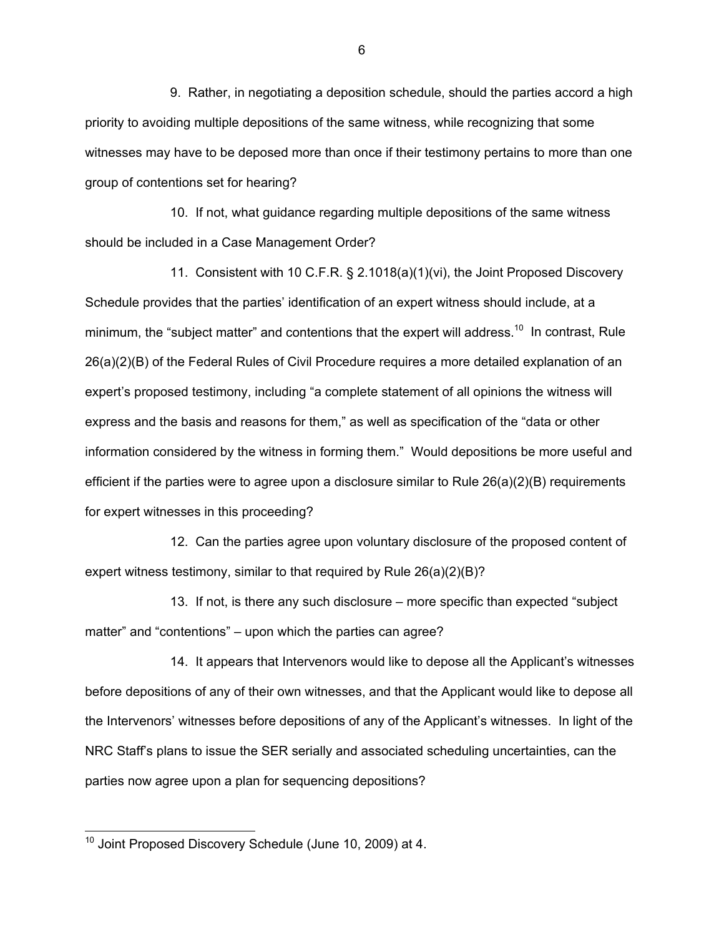9. Rather, in negotiating a deposition schedule, should the parties accord a high priority to avoiding multiple depositions of the same witness, while recognizing that some witnesses may have to be deposed more than once if their testimony pertains to more than one group of contentions set for hearing?

 10. If not, what guidance regarding multiple depositions of the same witness should be included in a Case Management Order?

 11. Consistent with 10 C.F.R. § 2.1018(a)(1)(vi), the Joint Proposed Discovery Schedule provides that the parties' identification of an expert witness should include, at a minimum, the "subject matter" and contentions that the expert will address.<sup>10</sup> In contrast, Rule 26(a)(2)(B) of the Federal Rules of Civil Procedure requires a more detailed explanation of an expert's proposed testimony, including "a complete statement of all opinions the witness will express and the basis and reasons for them," as well as specification of the "data or other information considered by the witness in forming them." Would depositions be more useful and efficient if the parties were to agree upon a disclosure similar to Rule 26(a)(2)(B) requirements for expert witnesses in this proceeding?

 12. Can the parties agree upon voluntary disclosure of the proposed content of expert witness testimony, similar to that required by Rule 26(a)(2)(B)?

 13. If not, is there any such disclosure – more specific than expected "subject matter" and "contentions" – upon which the parties can agree?

 14. It appears that Intervenors would like to depose all the Applicant's witnesses before depositions of any of their own witnesses, and that the Applicant would like to depose all the Intervenors' witnesses before depositions of any of the Applicant's witnesses. In light of the NRC Staff's plans to issue the SER serially and associated scheduling uncertainties, can the parties now agree upon a plan for sequencing depositions?

-

 $10$  Joint Proposed Discovery Schedule (June 10, 2009) at 4.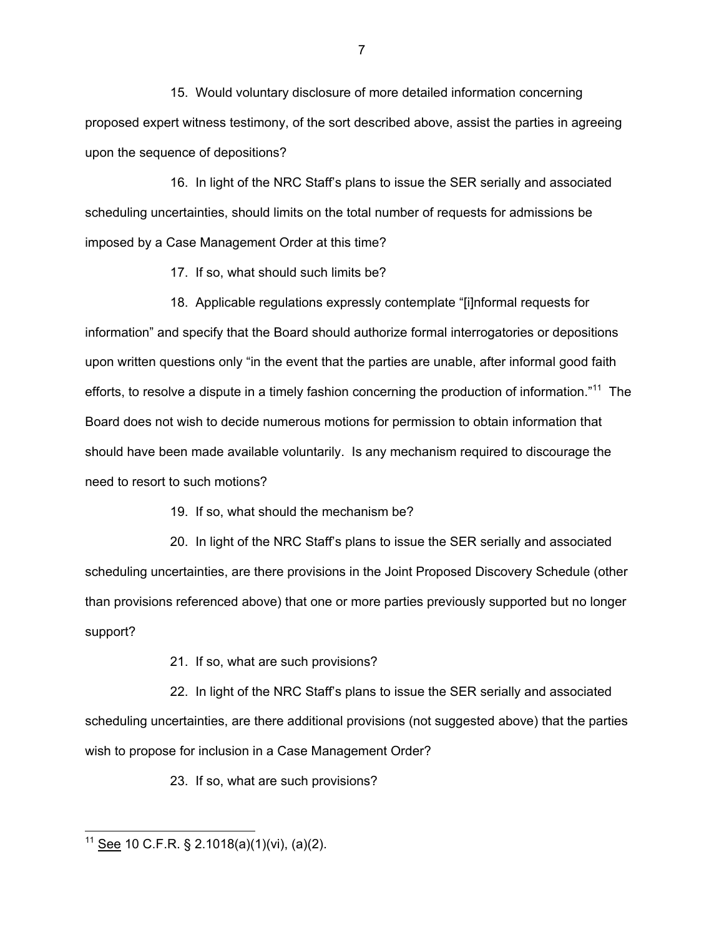15. Would voluntary disclosure of more detailed information concerning proposed expert witness testimony, of the sort described above, assist the parties in agreeing upon the sequence of depositions?

 16. In light of the NRC Staff's plans to issue the SER serially and associated scheduling uncertainties, should limits on the total number of requests for admissions be imposed by a Case Management Order at this time?

17. If so, what should such limits be?

 18. Applicable regulations expressly contemplate "[i]nformal requests for information" and specify that the Board should authorize formal interrogatories or depositions upon written questions only "in the event that the parties are unable, after informal good faith efforts, to resolve a dispute in a timely fashion concerning the production of information."<sup>11</sup> The Board does not wish to decide numerous motions for permission to obtain information that should have been made available voluntarily. Is any mechanism required to discourage the need to resort to such motions?

19. If so, what should the mechanism be?

 20. In light of the NRC Staff's plans to issue the SER serially and associated scheduling uncertainties, are there provisions in the Joint Proposed Discovery Schedule (other than provisions referenced above) that one or more parties previously supported but no longer support?

21. If so, what are such provisions?

 22. In light of the NRC Staff's plans to issue the SER serially and associated scheduling uncertainties, are there additional provisions (not suggested above) that the parties wish to propose for inclusion in a Case Management Order?

23. If so, what are such provisions?

7

 $\overline{a}$ <sup>11</sup> See 10 C.F.R. § 2.1018(a)(1)(vi), (a)(2).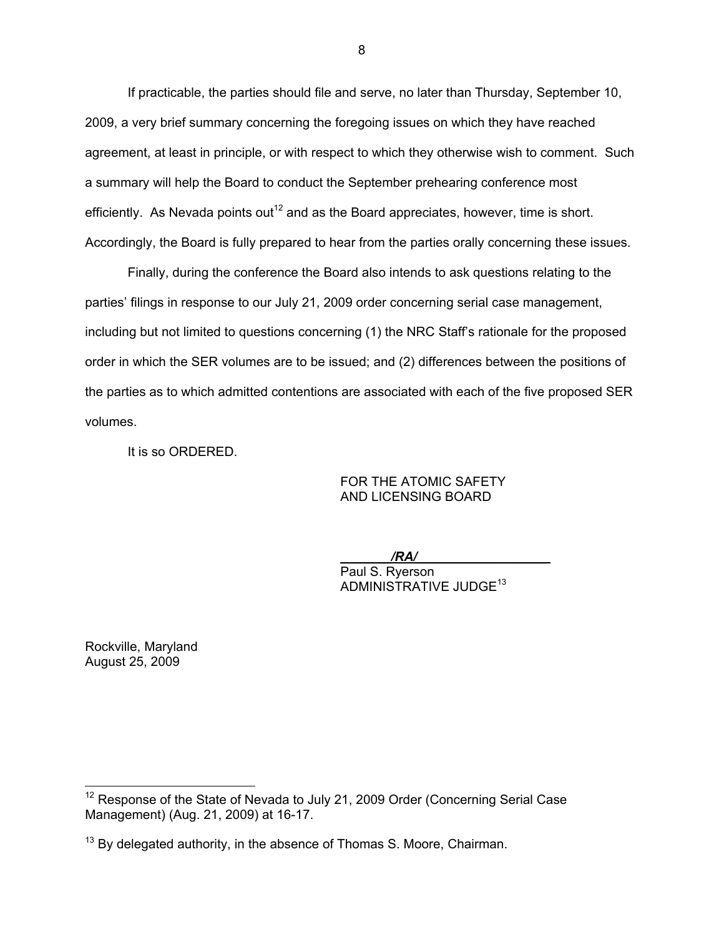If practicable, the parties should file and serve, no later than Thursday, September 10, 2009, a very brief summary concerning the foregoing issues on which they have reached agreement, at least in principle, or with respect to which they otherwise wish to comment. Such a summary will help the Board to conduct the September prehearing conference most efficiently. As Nevada points out<sup>12</sup> and as the Board appreciates, however, time is short. Accordingly, the Board is fully prepared to hear from the parties orally concerning these issues.

 Finally, during the conference the Board also intends to ask questions relating to the parties' filings in response to our July 21, 2009 order concerning serial case management, including but not limited to questions concerning (1) the NRC Staff's rationale for the proposed order in which the SER volumes are to be issued; and (2) differences between the positions of the parties as to which admitted contentions are associated with each of the five proposed SER volumes.

It is so ORDERED.

FOR THE ATOMIC SAFETY AND LICENSING BOARD

\_\_\_\_\_\_\_*/RA/*\_\_\_\_\_\_\_\_\_\_\_\_\_\_\_\_\_\_

Paul S. Ryerson ADMINISTRATIVE JUDGE<sup>13</sup>

Rockville, Maryland August 25, 2009

 $\overline{a}$ 

 $12$  Response of the State of Nevada to July 21, 2009 Order (Concerning Serial Case Management) (Aug. 21, 2009) at 16-17.

 $13$  By delegated authority, in the absence of Thomas S. Moore, Chairman.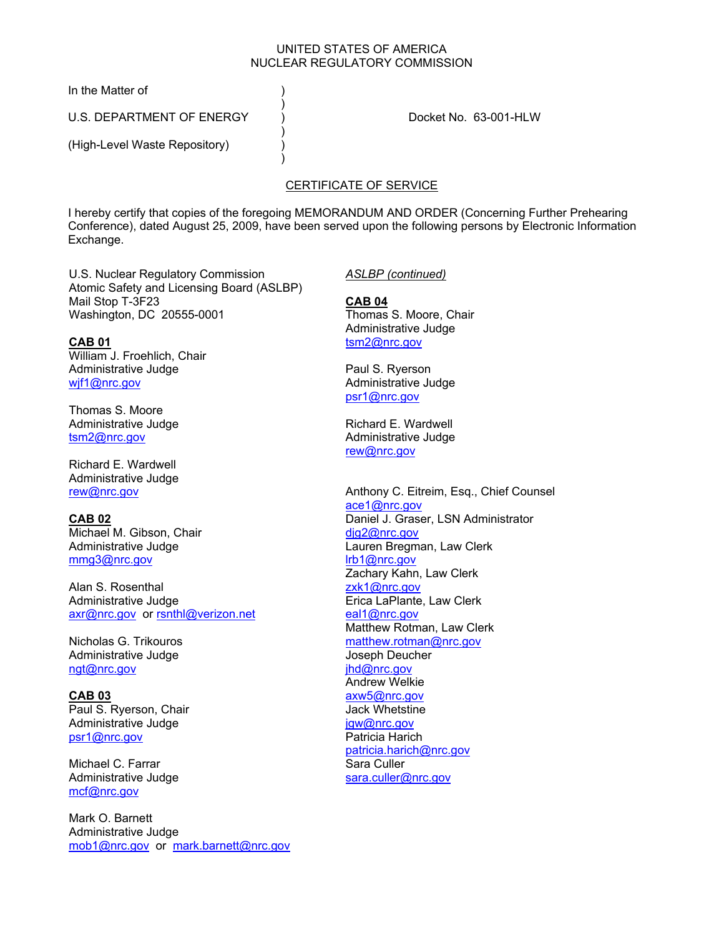#### UNITED STATES OF AMERICA NUCLEAR REGULATORY COMMISSION

In the Matter of (1)

U.S. DEPARTMENT OF ENERGY  $\overrightarrow{)}$  Docket No. 63-001-HLW

 $)$ 

 $)$ 

 $)$ 

(High-Level Waste Repository) (a

# CERTIFICATE OF SERVICE

I hereby certify that copies of the foregoing MEMORANDUM AND ORDER (Concerning Further Prehearing Conference), dated August 25, 2009, have been served upon the following persons by Electronic Information Exchange.

U.S. Nuclear Regulatory Commission Atomic Safety and Licensing Board (ASLBP) Mail Stop T-3F23 Washington, DC 20555-0001

**CAB 01** William J. Froehlich, Chair Administrative Judge wif1@nrc.gov

Thomas S. Moore Administrative Judge tsm2@nrc.gov

Richard E. Wardwell Administrative Judge rew@nrc.gov

**CAB 02** Michael M. Gibson, Chair Administrative Judge mmg3@nrc.gov

Alan S. Rosenthal Administrative Judge axr@nrc.gov or rsnthl@verizon.net

Nicholas G. Trikouros Administrative Judge ngt@nrc.gov

**CAB 03** Paul S. Ryerson, Chair Administrative Judge psr1@nrc.gov

Michael C. Farrar Administrative Judge mcf@nrc.gov

Mark O. Barnett Administrative Judge mob1@nrc.gov or mark.barnett@nrc.gov *ASLBP (continued)*

**CAB 04** Thomas S. Moore, Chair Administrative Judge tsm2@nrc.gov

Paul S. Ryerson Administrative Judge psr1@nrc.gov

Richard E. Wardwell Administrative Judge rew@nrc.gov

Anthony C. Eitreim, Esq., Chief Counsel ace1@nrc.gov Daniel J. Graser, LSN Administrator djg2@nrc.gov Lauren Bregman, Law Clerk lrb1@nrc.gov Zachary Kahn, Law Clerk zxk1@nrc.gov Erica LaPlante, Law Clerk eal1@nrc.gov Matthew Rotman, Law Clerk matthew.rotman@nrc.gov Joseph Deucher ihd@nrc.gov Andrew Welkie axw5@nrc.gov Jack Whetstine jgw@nrc.gov Patricia Harich patricia.harich@nrc.gov Sara Culler sara.culler@nrc.gov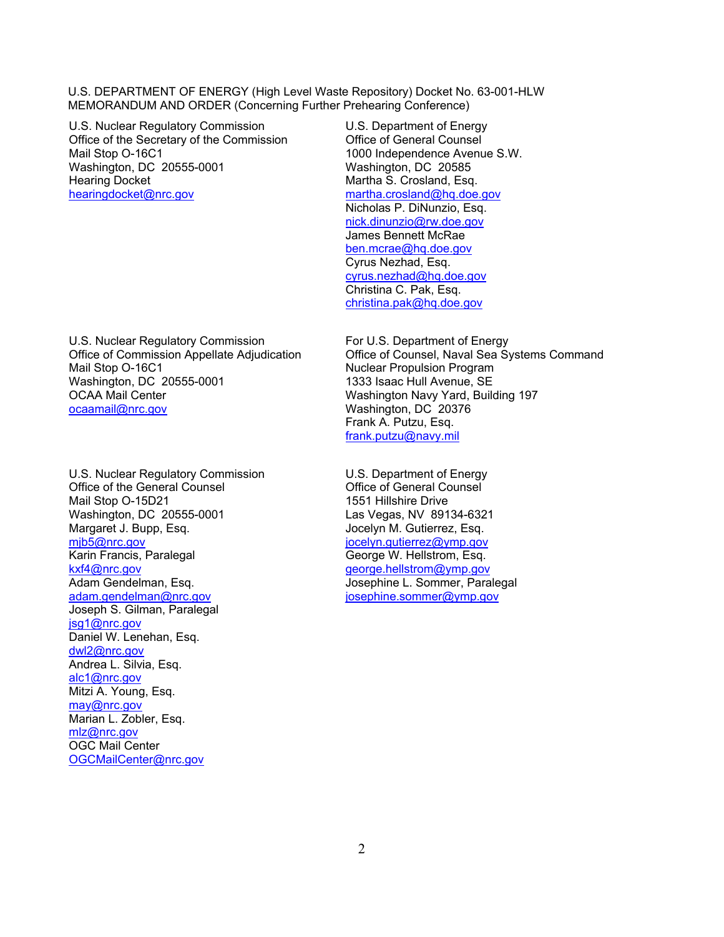U.S. Nuclear Regulatory Commission Office of the Secretary of the Commission Mail Stop O-16C1 Washington, DC 20555-0001 Hearing Docket hearingdocket@nrc.gov

U.S. Nuclear Regulatory Commission Office of Commission Appellate Adjudication Mail Stop O-16C1 Washington, DC 20555-0001 OCAA Mail Center ocaamail@nrc.gov

U.S. Nuclear Regulatory Commission Office of the General Counsel Mail Stop O-15D21 Washington, DC 20555-0001 Margaret J. Bupp, Esq. mjb5@nrc.gov Karin Francis, Paralegal kxf4@nrc.gov Adam Gendelman, Esq. adam.gendelman@nrc.gov Joseph S. Gilman, Paralegal jsg1@nrc.gov Daniel W. Lenehan, Esq. dwl2@nrc.gov Andrea L. Silvia, Esq. alc1@nrc.gov Mitzi A. Young, Esq. may@nrc.gov Marian L. Zobler, Esq. mlz@nrc.gov OGC Mail Center OGCMailCenter@nrc.gov

U.S. Department of Energy Office of General Counsel 1000 Independence Avenue S.W. Washington, DC 20585 Martha S. Crosland, Esq. martha.crosland@hq.doe.gov Nicholas P. DiNunzio, Esq. nick.dinunzio@rw.doe.gov James Bennett McRae ben.mcrae@hq.doe.gov Cyrus Nezhad, Esq. cyrus.nezhad@hq.doe.gov Christina C. Pak, Esq. christina.pak@hq.doe.gov

For U.S. Department of Energy Office of Counsel, Naval Sea Systems Command Nuclear Propulsion Program 1333 Isaac Hull Avenue, SE Washington Navy Yard, Building 197 Washington, DC 20376 Frank A. Putzu, Esq. frank.putzu@navy.mil

U.S. Department of Energy Office of General Counsel 1551 Hillshire Drive Las Vegas, NV 89134-6321 Jocelyn M. Gutierrez, Esq. jocelyn.gutierrez@ymp.gov George W. Hellstrom, Esq. george.hellstrom@ymp.gov Josephine L. Sommer, Paralegal josephine.sommer@ymp.gov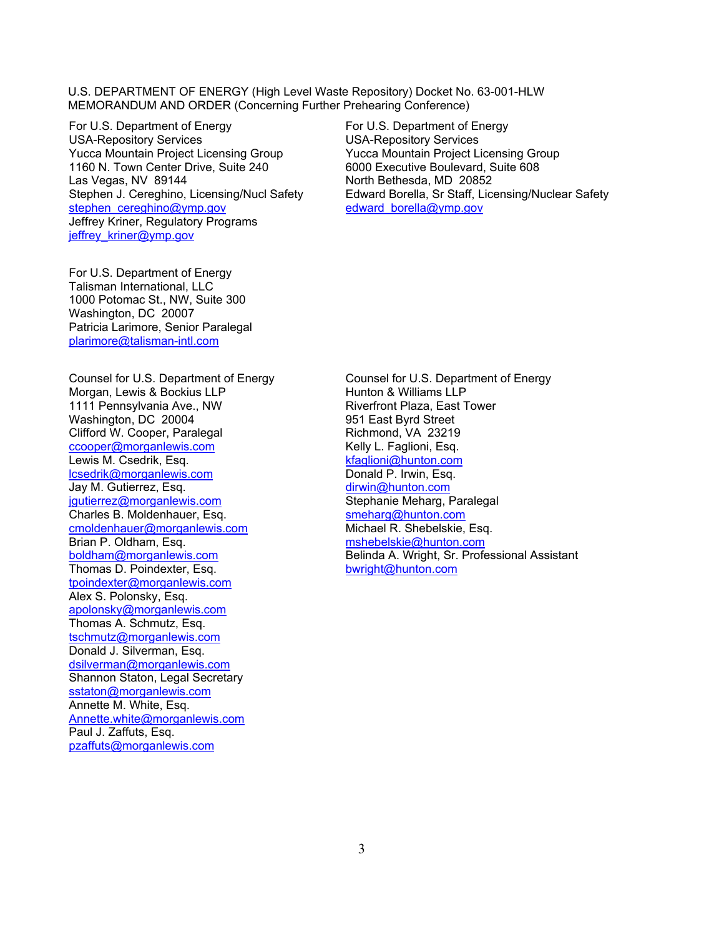For U.S. Department of Energy USA-Repository Services Yucca Mountain Project Licensing Group 1160 N. Town Center Drive, Suite 240 Las Vegas, NV 89144 Stephen J. Cereghino, Licensing/Nucl Safety stephen\_cereghino@ymp.gov Jeffrey Kriner, Regulatory Programs jeffrey\_kriner@ymp.gov

For U.S. Department of Energy Talisman International, LLC 1000 Potomac St., NW, Suite 300 Washington, DC 20007 Patricia Larimore, Senior Paralegal plarimore@talisman-intl.com

Counsel for U.S. Department of Energy Morgan, Lewis & Bockius LLP 1111 Pennsylvania Ave., NW Washington, DC 20004 Clifford W. Cooper, Paralegal ccooper@morganlewis.com Lewis M. Csedrik, Esq. lcsedrik@morganlewis.com Jay M. Gutierrez, Esq. jgutierrez@morganlewis.com Charles B. Moldenhauer, Esq. cmoldenhauer@morganlewis.com Brian P. Oldham, Esq. boldham@morganlewis.com Thomas D. Poindexter, Esq. tpoindexter@morganlewis.com Alex S. Polonsky, Esq. apolonsky@morganlewis.com Thomas A. Schmutz, Esq. tschmutz@morganlewis.com Donald J. Silverman, Esq. dsilverman@morganlewis.com Shannon Staton, Legal Secretary sstaton@morganlewis.com Annette M. White, Esq. Annette.white@morganlewis.com Paul J. Zaffuts, Esq. pzaffuts@morganlewis.com

For U.S. Department of Energy USA-Repository Services Yucca Mountain Project Licensing Group 6000 Executive Boulevard, Suite 608 North Bethesda, MD 20852 Edward Borella, Sr Staff, Licensing/Nuclear Safety edward\_borella@ymp.gov

Counsel for U.S. Department of Energy Hunton & Williams LLP Riverfront Plaza, East Tower 951 East Byrd Street Richmond, VA 23219 Kelly L. Faglioni, Esq. kfaglioni@hunton.com Donald P. Irwin, Esq. dirwin@hunton.com Stephanie Meharg, Paralegal smeharg@hunton.com Michael R. Shebelskie, Esq. mshebelskie@hunton.com Belinda A. Wright, Sr. Professional Assistant bwright@hunton.com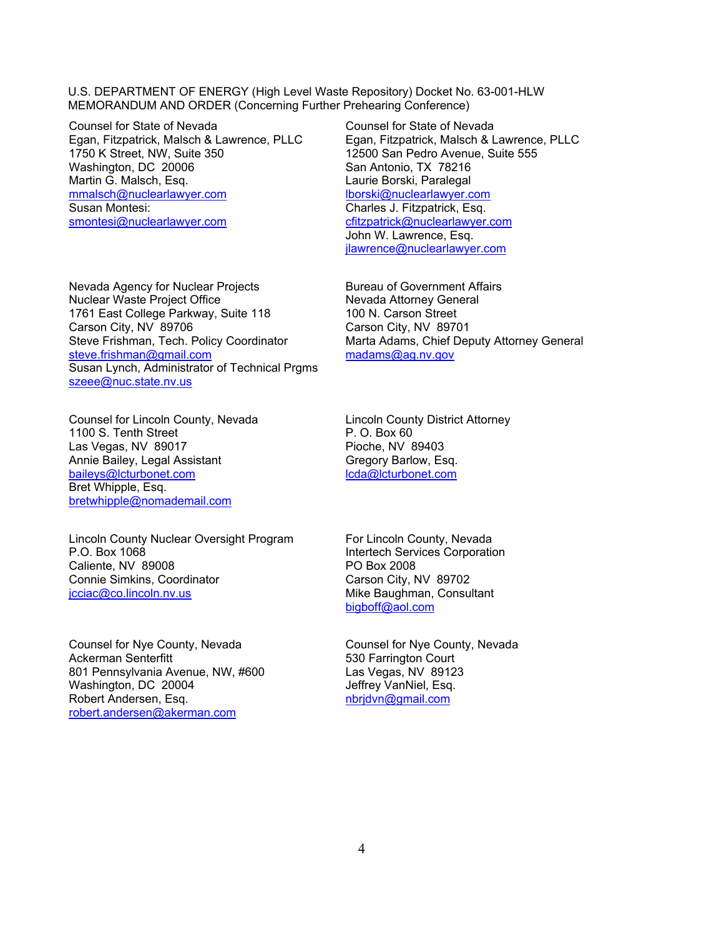Counsel for State of Nevada Egan, Fitzpatrick, Malsch & Lawrence, PLLC 1750 K Street, NW, Suite 350 Washington, DC 20006 Martin G. Malsch, Esq. mmalsch@nuclearlawyer.com Susan Montesi: smontesi@nuclearlawyer.com

Nevada Agency for Nuclear Projects Nuclear Waste Project Office 1761 East College Parkway, Suite 118 Carson City, NV 89706 Steve Frishman, Tech. Policy Coordinator steve.frishman@gmail.com Susan Lynch, Administrator of Technical Prgms szeee@nuc.state.nv.us

Counsel for Lincoln County, Nevada 1100 S. Tenth Street Las Vegas, NV 89017 Annie Bailey, Legal Assistant baileys@lcturbonet.com Bret Whipple, Esq. bretwhipple@nomademail.com

Lincoln County Nuclear Oversight Program P.O. Box 1068 Caliente, NV 89008 Connie Simkins, Coordinator jcciac@co.lincoln.nv.us

Counsel for Nye County, Nevada Ackerman Senterfitt 801 Pennsylvania Avenue, NW, #600 Washington, DC 20004 Robert Andersen, Esq. robert.andersen@akerman.com

Counsel for State of Nevada Egan, Fitzpatrick, Malsch & Lawrence, PLLC 12500 San Pedro Avenue, Suite 555 San Antonio, TX 78216 Laurie Borski, Paralegal lborski@nuclearlawyer.com Charles J. Fitzpatrick, Esq. cfitzpatrick@nuclearlawyer.com John W. Lawrence, Esq. jlawrence@nuclearlawyer.com

Bureau of Government Affairs Nevada Attorney General 100 N. Carson Street Carson City, NV 89701 Marta Adams, Chief Deputy Attorney General madams@ag.nv.gov

Lincoln County District Attorney P. O. Box 60 Pioche, NV 89403 Gregory Barlow, Esq. lcda@lcturbonet.com

For Lincoln County, Nevada Intertech Services Corporation PO Box 2008 Carson City, NV 89702 Mike Baughman, Consultant bigboff@aol.com

Counsel for Nye County, Nevada 530 Farrington Court Las Vegas, NV 89123 Jeffrey VanNiel, Esq. nbrjdvn@gmail.com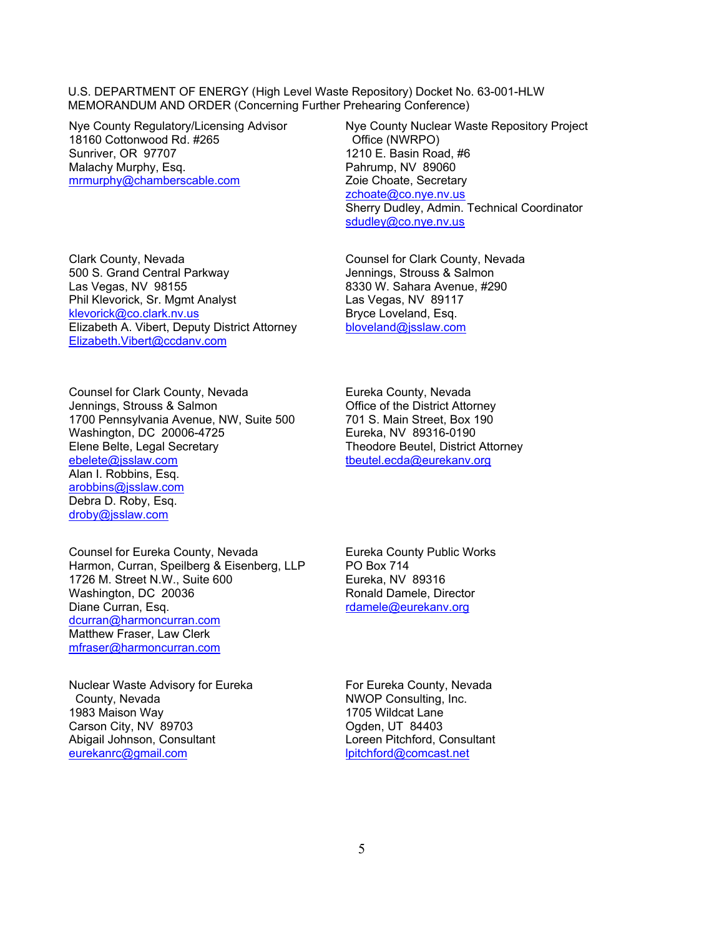Nye County Regulatory/Licensing Advisor 18160 Cottonwood Rd. #265 Sunriver, OR 97707 Malachy Murphy, Esq. mrmurphy@chamberscable.com

Clark County, Nevada 500 S. Grand Central Parkway Las Vegas, NV 98155 Phil Klevorick, Sr. Mgmt Analyst klevorick@co.clark.nv.us Elizabeth A. Vibert, Deputy District Attorney Elizabeth.Vibert@ccdanv.com

Nye County Nuclear Waste Repository Project Office (NWRPO) 1210 E. Basin Road, #6 Pahrump, NV 89060 Zoie Choate, Secretary zchoate@co.nye.nv.us Sherry Dudley, Admin. Technical Coordinator sdudley@co.nye.nv.us

Counsel for Clark County, Nevada Jennings, Strouss & Salmon 8330 W. Sahara Avenue, #290 Las Vegas, NV 89117 Bryce Loveland, Esq. bloveland@jsslaw.com

Counsel for Clark County, Nevada Jennings, Strouss & Salmon 1700 Pennsylvania Avenue, NW, Suite 500 Washington, DC 20006-4725 Elene Belte, Legal Secretary ebelete@jsslaw.com Alan I. Robbins, Esq. arobbins@jsslaw.com Debra D. Roby, Esq. droby@jsslaw.com

Eureka County, Nevada Office of the District Attorney 701 S. Main Street, Box 190 Eureka, NV 89316-0190 Theodore Beutel, District Attorney tbeutel.ecda@eurekanv.org

Counsel for Eureka County, Nevada Harmon, Curran, Speilberg & Eisenberg, LLP 1726 M. Street N.W., Suite 600 Washington, DC 20036 Diane Curran, Esq. dcurran@harmoncurran.com Matthew Fraser, Law Clerk mfraser@harmoncurran.com

Nuclear Waste Advisory for Eureka County, Nevada 1983 Maison Way Carson City, NV 89703 Abigail Johnson, Consultant eurekanrc@gmail.com

Eureka County Public Works PO Box 714 Eureka, NV 89316 Ronald Damele, Director rdamele@eurekanv.org

For Eureka County, Nevada NWOP Consulting, Inc. 1705 Wildcat Lane Ogden, UT 84403 Loreen Pitchford, Consultant lpitchford@comcast.net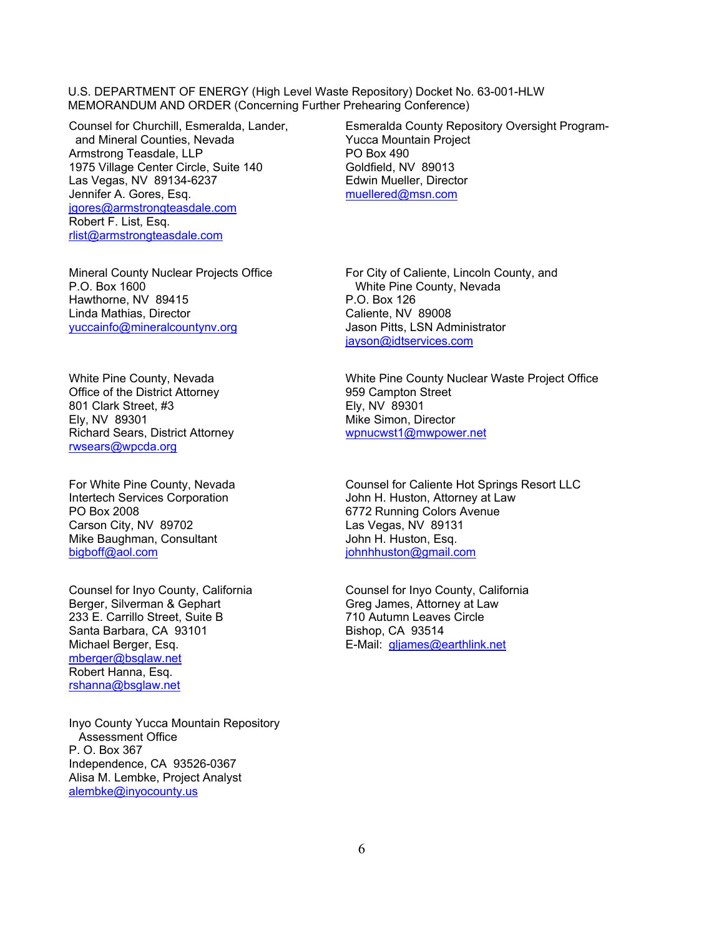Counsel for Churchill, Esmeralda, Lander, and Mineral Counties, Nevada Armstrong Teasdale, LLP 1975 Village Center Circle, Suite 140 Las Vegas, NV 89134-6237 Jennifer A. Gores, Esq. jgores@armstrongteasdale.com Robert F. List, Esq. rlist@armstrongteasdale.com

Mineral County Nuclear Projects Office P.O. Box 1600 Hawthorne, NV 89415 Linda Mathias, Director yuccainfo@mineralcountynv.org

White Pine County, Nevada Office of the District Attorney 801 Clark Street, #3 Ely, NV 89301 Richard Sears, District Attorney rwsears@wpcda.org

For White Pine County, Nevada Intertech Services Corporation PO Box 2008 Carson City, NV 89702 Mike Baughman, Consultant bigboff@aol.com

Counsel for Inyo County, California Berger, Silverman & Gephart 233 E. Carrillo Street, Suite B Santa Barbara, CA 93101 Michael Berger, Esq. mberger@bsglaw.net Robert Hanna, Esq. rshanna@bsglaw.net

Inyo County Yucca Mountain Repository Assessment Office P. O. Box 367 Independence, CA 93526-0367 Alisa M. Lembke, Project Analyst alembke@inyocounty.us

Esmeralda County Repository Oversight Program-Yucca Mountain Project PO Box 490 Goldfield, NV 89013 Edwin Mueller, Director muellered@msn.com

For City of Caliente, Lincoln County, and White Pine County, Nevada P.O. Box 126 Caliente, NV 89008 Jason Pitts, LSN Administrator jayson@idtservices.com

White Pine County Nuclear Waste Project Office 959 Campton Street Ely, NV 89301 Mike Simon, Director wpnucwst1@mwpower.net

Counsel for Caliente Hot Springs Resort LLC John H. Huston, Attorney at Law 6772 Running Colors Avenue Las Vegas, NV 89131 John H. Huston, Esq. johnhhuston@gmail.com

Counsel for Inyo County, California Greg James, Attorney at Law 710 Autumn Leaves Circle Bishop, CA 93514 E-Mail: gljames@earthlink.net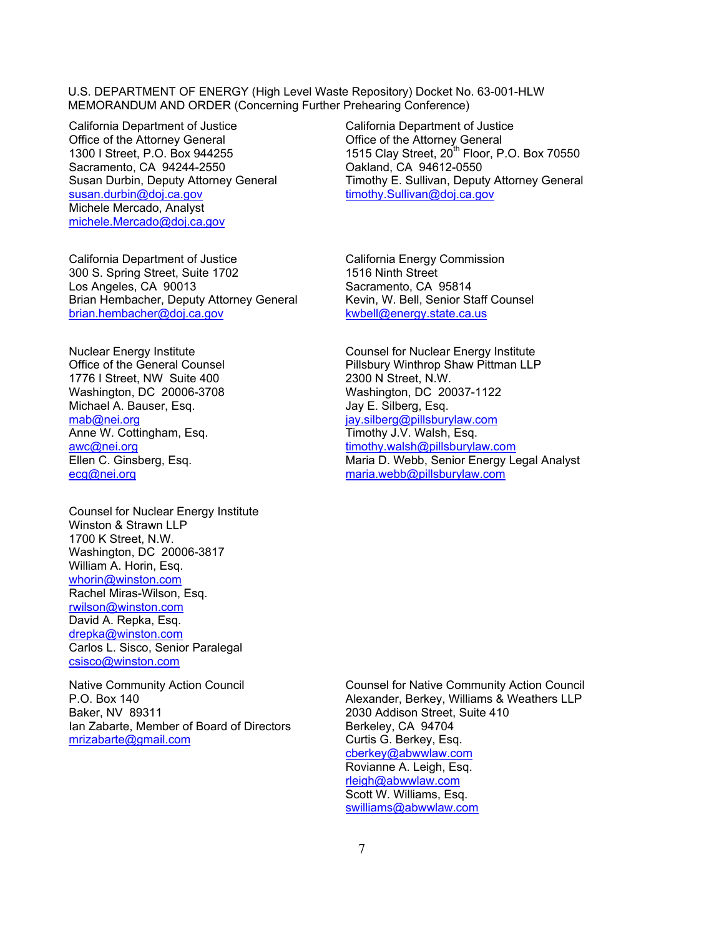California Department of Justice Office of the Attorney General 1300 I Street, P.O. Box 944255 Sacramento, CA 94244-2550 Susan Durbin, Deputy Attorney General susan.durbin@doj.ca.gov Michele Mercado, Analyst michele.Mercado@doj.ca.gov

California Department of Justice 300 S. Spring Street, Suite 1702 Los Angeles, CA 90013 Brian Hembacher, Deputy Attorney General brian.hembacher@doj.ca.gov

Nuclear Energy Institute Office of the General Counsel 1776 I Street, NW Suite 400 Washington, DC 20006-3708 Michael A. Bauser, Esq. mab@nei.org Anne W. Cottingham, Esq. awc@nei.org Ellen C. Ginsberg, Esq. ecg@nei.org

Counsel for Nuclear Energy Institute Winston & Strawn LLP 1700 K Street, N.W. Washington, DC 20006-3817 William A. Horin, Esq. whorin@winston.com Rachel Miras-Wilson, Esq. rwilson@winston.com David A. Repka, Esq. drepka@winston.com Carlos L. Sisco, Senior Paralegal csisco@winston.com

Native Community Action Council P.O. Box 140 Baker, NV 89311 Ian Zabarte, Member of Board of Directors mrizabarte@gmail.com

California Department of Justice Office of the Attorney General 1515 Clay Street, 20<sup>th</sup> Floor, P.O. Box 70550 Oakland, CA 94612-0550 Timothy E. Sullivan, Deputy Attorney General timothy.Sullivan@doj.ca.gov

California Energy Commission 1516 Ninth Street Sacramento, CA 95814 Kevin, W. Bell, Senior Staff Counsel kwbell@energy.state.ca.us

Counsel for Nuclear Energy Institute Pillsbury Winthrop Shaw Pittman LLP 2300 N Street, N.W. Washington, DC 20037-1122 Jay E. Silberg, Esq. jay.silberg@pillsburylaw.com Timothy J.V. Walsh, Esq. timothy.walsh@pillsburylaw.com Maria D. Webb, Senior Energy Legal Analyst maria.webb@pillsburylaw.com

Counsel for Native Community Action Council Alexander, Berkey, Williams & Weathers LLP 2030 Addison Street, Suite 410 Berkeley, CA 94704 Curtis G. Berkey, Esq. cberkey@abwwlaw.com Rovianne A. Leigh, Esq. rleigh@abwwlaw.com Scott W. Williams, Esq. swilliams@abwwlaw.com